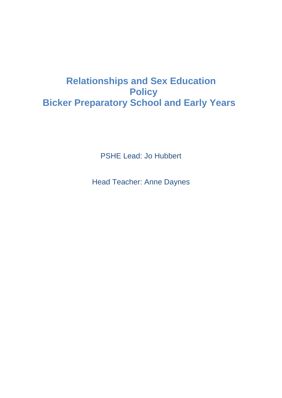# **Relationships and Sex Education Policy Bicker Preparatory School and Early Years**

PSHE Lead: Jo Hubbert

Head Teacher: Anne Daynes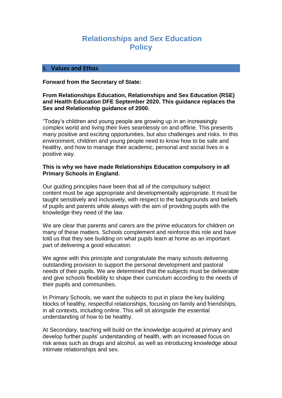# **Relationships and Sex Education Policy**

# **1. Values and Ethos**

#### **Forward from the Secretary of State:**

# **From Relationships Education, Relationships and Sex Education (RSE) and Health Education DFE September 2020. This guidance replaces the Sex and Relationship guidance of 2000.**

"Today's children and young people are growing up in an increasingly complex world and living their lives seamlessly on and offline. This presents many positive and exciting opportunities, but also challenges and risks. In this environment, children and young people need to know how to be safe and healthy, and how to manage their academic, personal and social lives in a positive way.

# **This is why we have made Relationships Education compulsory in all Primary Schools in England.**

Our guiding principles have been that all of the compulsory subject content must be age appropriate and developmentally appropriate. It must be taught sensitively and inclusively, with respect to the backgrounds and beliefs of pupils and parents while always with the aim of providing pupils with the knowledge they need of the law.

We are clear that parents and carers are the prime educators for children on many of these matters. Schools complement and reinforce this role and have told us that they see building on what pupils learn at home as an important part of delivering a good education.

We agree with this principle and congratulate the many schools delivering outstanding provision to support the personal development and pastoral needs of their pupils. We are determined that the subjects must be deliverable and give schools flexibility to shape their curriculum according to the needs of their pupils and communities.

In Primary Schools, we want the subjects to put in place the key building blocks of healthy, respectful relationships, focusing on family and friendships, in all contexts, including online. This will sit alongside the essential understanding of how to be healthy.

At Secondary, teaching will build on the knowledge acquired at primary and develop further pupils' understanding of health, with an increased focus on risk areas such as drugs and alcohol, as well as introducing knowledge about intimate relationships and sex.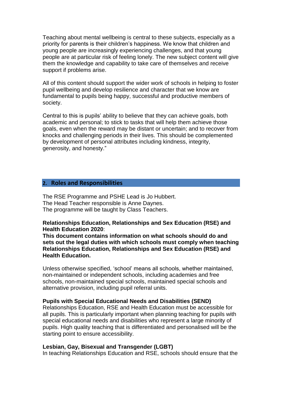Teaching about mental wellbeing is central to these subjects, especially as a priority for parents is their children's happiness. We know that children and young people are increasingly experiencing challenges, and that young people are at particular risk of feeling lonely. The new subject content will give them the knowledge and capability to take care of themselves and receive support if problems arise.

All of this content should support the wider work of schools in helping to foster pupil wellbeing and develop resilience and character that we know are fundamental to pupils being happy, successful and productive members of society.

Central to this is pupils' ability to believe that they can achieve goals, both academic and personal; to stick to tasks that will help them achieve those goals, even when the reward may be distant or uncertain; and to recover from knocks and challenging periods in their lives. This should be complemented by development of personal attributes including kindness, integrity, generosity, and honesty."

#### **2. Roles and Responsibilities**

The RSE Programme and PSHE Lead is Jo Hubbert. The Head Teacher responsible is Anne Daynes. The programme will be taught by Class Teachers.

# **Relationships Education, Relationships and Sex Education (RSE) and Health Education 2020**:

**This document contains information on what schools should do and sets out the legal duties with which schools must comply when teaching Relationships Education, Relationships and Sex Education (RSE) and Health Education.** 

Unless otherwise specified, 'school' means all schools, whether maintained, non-maintained or independent schools, including academies and free schools, non-maintained special schools, maintained special schools and alternative provision, including pupil referral units.

#### **Pupils with Special Educational Needs and Disabilities (SEND)**

Relationships Education, RSE and Health Education must be accessible for all pupils. This is particularly important when planning teaching for pupils with special educational needs and disabilities who represent a large minority of pupils. High quality teaching that is differentiated and personalised will be the starting point to ensure accessibility.

#### **Lesbian, Gay, Bisexual and Transgender (LGBT)**

In teaching Relationships Education and RSE, schools should ensure that the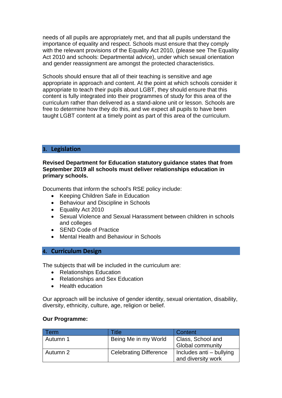needs of all pupils are appropriately met, and that all pupils understand the importance of equality and respect. Schools must ensure that they comply with the relevant provisions of the Equality Act 2010, (please see The Equality Act 2010 and schools: Departmental advice), under which sexual orientation and gender reassignment are amongst the protected characteristics.

Schools should ensure that all of their teaching is sensitive and age appropriate in approach and content. At the point at which schools consider it appropriate to teach their pupils about LGBT, they should ensure that this content is fully integrated into their programmes of study for this area of the curriculum rather than delivered as a stand-alone unit or lesson. Schools are free to determine how they do this, and we expect all pupils to have been taught LGBT content at a timely point as part of this area of the curriculum.

# **3. Legislation**

**Revised Department for Education statutory guidance states that from September 2019 all schools must deliver relationships education in primary schools.**

Documents that inform the school's RSE policy include:

- Keeping Children Safe in Education
- Behaviour and Discipline in Schools
- Equality Act 2010
- Sexual Violence and Sexual Harassment between children in schools and colleges
- **SEND Code of Practice**
- Mental Health and Behaviour in Schools

#### **4. Curriculum Design**

The subjects that will be included in the curriculum are:

- Relationships Education
- Relationships and Sex Education
- Health education

Our approach will be inclusive of gender identity, sexual orientation, disability, diversity, ethnicity, culture, age, religion or belief.

#### **Our Programme:**

| Term     | Title                         | Content                  |
|----------|-------------------------------|--------------------------|
| Autumn 1 | Being Me in my World          | Class, School and        |
|          |                               | <b>Global community</b>  |
| Autumn 2 | <b>Celebrating Difference</b> | Includes anti – bullying |
|          |                               | and diversity work       |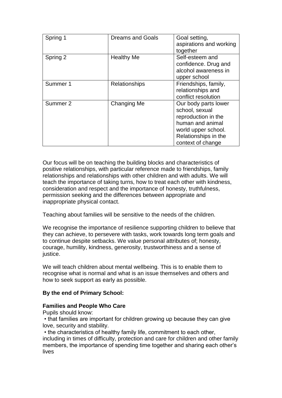| Spring 1 | <b>Dreams and Goals</b> | Goal setting,<br>aspirations and working<br>together                                                                                                  |
|----------|-------------------------|-------------------------------------------------------------------------------------------------------------------------------------------------------|
| Spring 2 | <b>Healthy Me</b>       | Self-esteem and<br>confidence. Drug and<br>alcohol awareness in<br>upper school                                                                       |
| Summer 1 | Relationships           | Friendships, family,<br>relationships and<br>conflict resolution                                                                                      |
| Summer 2 | Changing Me             | Our body parts lower<br>school, sexual<br>reproduction in the<br>human and animal<br>world upper school.<br>Relationships in the<br>context of change |

Our focus will be on teaching the building blocks and characteristics of positive relationships, with particular reference made to friendships, family relationships and relationships with other children and with adults. We will teach the importance of taking turns, how to treat each other with kindness, consideration and respect and the importance of honesty, truthfulness, permission seeking and the differences between appropriate and inappropriate physical contact.

Teaching about families will be sensitive to the needs of the children.

We recognise the importance of resilience supporting children to believe that they can achieve, to persevere with tasks, work towards long term goals and to continue despite setbacks. We value personal attributes of; honesty, courage, humility, kindness, generosity, trustworthiness and a sense of justice.

We will teach children about mental wellbeing. This is to enable them to recognise what is normal and what is an issue themselves and others and how to seek support as early as possible.

# **By the end of Primary School:**

# **Families and People Who Care**

Pupils should know:

• that families are important for children growing up because they can give love, security and stability.

• the characteristics of healthy family life, commitment to each other, including in times of difficulty, protection and care for children and other family members, the importance of spending time together and sharing each other's lives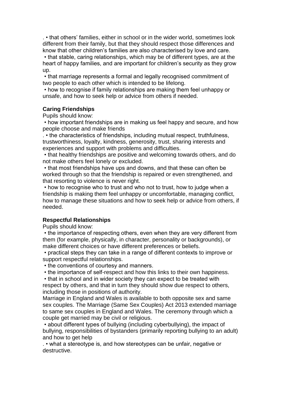. • that others' families, either in school or in the wider world, sometimes look different from their family, but that they should respect those differences and know that other children's families are also characterised by love and care.

• that stable, caring relationships, which may be of different types, are at the heart of happy families, and are important for children's security as they grow up.

• that marriage represents a formal and legally recognised commitment of two people to each other which is intended to be lifelong.

• how to recognise if family relationships are making them feel unhappy or unsafe, and how to seek help or advice from others if needed.

# **Caring Friendships**

Pupils should know:

• how important friendships are in making us feel happy and secure, and how people choose and make friends

. • the characteristics of friendships, including mutual respect, truthfulness, trustworthiness, loyalty, kindness, generosity, trust, sharing interests and experiences and support with problems and difficulties.

• that healthy friendships are positive and welcoming towards others, and do not make others feel lonely or excluded.

• that most friendships have ups and downs, and that these can often be worked through so that the friendship is repaired or even strengthened, and that resorting to violence is never right.

• how to recognise who to trust and who not to trust, how to judge when a friendship is making them feel unhappy or uncomfortable, managing conflict, how to manage these situations and how to seek help or advice from others, if needed.

#### **Respectful Relationships**

Pupils should know:

• the importance of respecting others, even when they are very different from them (for example, physically, in character, personality or backgrounds), or make different choices or have different preferences or beliefs.

• practical steps they can take in a range of different contexts to improve or support respectful relationships.

• the conventions of courtesy and manners.

• the importance of self-respect and how this links to their own happiness.

• that in school and in wider society they can expect to be treated with respect by others, and that in turn they should show due respect to others, including those in positions of authority.

Marriage in England and Wales is available to both opposite sex and same sex couples. The Marriage (Same Sex Couples) Act 2013 extended marriage to same sex couples in England and Wales. The ceremony through which a couple get married may be civil or religious.

• about different types of bullying (including cyberbullying), the impact of bullying, responsibilities of bystanders (primarily reporting bullying to an adult) and how to get help

. • what a stereotype is, and how stereotypes can be unfair, negative or destructive.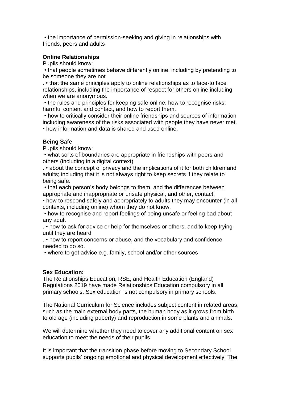• the importance of permission-seeking and giving in relationships with friends, peers and adults

# **Online Relationships**

Pupils should know:

• that people sometimes behave differently online, including by pretending to be someone they are not

. • that the same principles apply to online relationships as to face-to face relationships, including the importance of respect for others online including when we are anonymous.

• the rules and principles for keeping safe online, how to recognise risks, harmful content and contact, and how to report them.

• how to critically consider their online friendships and sources of information including awareness of the risks associated with people they have never met. • how information and data is shared and used online.

# **Being Safe**

Pupils should know:

• what sorts of boundaries are appropriate in friendships with peers and others (including in a digital context)

. • about the concept of privacy and the implications of it for both children and adults; including that it is not always right to keep secrets if they relate to being safe.

• that each person's body belongs to them, and the differences between appropriate and inappropriate or unsafe physical, and other, contact.

• how to respond safely and appropriately to adults they may encounter (in all contexts, including online) whom they do not know.

• how to recognise and report feelings of being unsafe or feeling bad about any adult

. • how to ask for advice or help for themselves or others, and to keep trying until they are heard

. • how to report concerns or abuse, and the vocabulary and confidence needed to do so.

• where to get advice e.g. family, school and/or other sources

#### **Sex Education:**

The Relationships Education, RSE, and Health Education (England) Regulations 2019 have made Relationships Education compulsory in all primary schools. Sex education is not compulsory in primary schools.

The National Curriculum for Science includes subject content in related areas, such as the main external body parts, the human body as it grows from birth to old age (including puberty) and reproduction in some plants and animals.

We will determine whether they need to cover any additional content on sex education to meet the needs of their pupils.

It is important that the transition phase before moving to Secondary School supports pupils' ongoing emotional and physical development effectively. The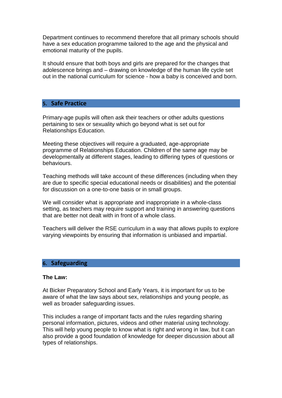Department continues to recommend therefore that all primary schools should have a sex education programme tailored to the age and the physical and emotional maturity of the pupils.

It should ensure that both boys and girls are prepared for the changes that adolescence brings and – drawing on knowledge of the human life cycle set out in the national curriculum for science - how a baby is conceived and born.

# **5. Safe Practice**

Primary-age pupils will often ask their teachers or other adults questions pertaining to sex or sexuality which go beyond what is set out for Relationships Education.

Meeting these objectives will require a graduated, age-appropriate programme of Relationships Education. Children of the same age may be developmentally at different stages, leading to differing types of questions or behaviours.

Teaching methods will take account of these differences (including when they are due to specific special educational needs or disabilities) and the potential for discussion on a one-to-one basis or in small groups.

We will consider what is appropriate and inappropriate in a whole-class setting, as teachers may require support and training in answering questions that are better not dealt with in front of a whole class.

Teachers will deliver the RSE curriculum in a way that allows pupils to explore varying viewpoints by ensuring that information is unbiased and impartial.

# **6. Safeguarding**

#### **The Law:**

At Bicker Preparatory School and Early Years, it is important for us to be aware of what the law says about sex, relationships and young people, as well as broader safeguarding issues.

This includes a range of important facts and the rules regarding sharing personal information, pictures, videos and other material using technology. This will help young people to know what is right and wrong in law, but it can also provide a good foundation of knowledge for deeper discussion about all types of relationships.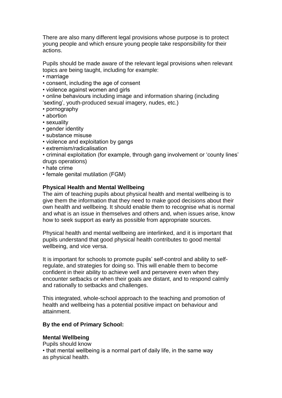There are also many different legal provisions whose purpose is to protect young people and which ensure young people take responsibility for their actions.

Pupils should be made aware of the relevant legal provisions when relevant topics are being taught, including for example:

- marriage
- consent, including the age of consent
- violence against women and girls
- online behaviours including image and information sharing (including 'sexting', youth-produced sexual imagery, nudes, etc.)
- pornography
- abortion
- sexuality
- gender identity
- substance misuse
- violence and exploitation by gangs
- extremism/radicalisation
- criminal exploitation (for example, through gang involvement or 'county lines' drugs operations)
- hate crime
- female genital mutilation (FGM)

#### **Physical Health and Mental Wellbeing**

The aim of teaching pupils about physical health and mental wellbeing is to give them the information that they need to make good decisions about their own health and wellbeing. It should enable them to recognise what is normal and what is an issue in themselves and others and, when issues arise, know how to seek support as early as possible from appropriate sources.

Physical health and mental wellbeing are interlinked, and it is important that pupils understand that good physical health contributes to good mental wellbeing, and vice versa.

It is important for schools to promote pupils' self-control and ability to selfregulate, and strategies for doing so. This will enable them to become confident in their ability to achieve well and persevere even when they encounter setbacks or when their goals are distant, and to respond calmly and rationally to setbacks and challenges.

This integrated, whole-school approach to the teaching and promotion of health and wellbeing has a potential positive impact on behaviour and attainment.

#### **By the end of Primary School:**

#### **Mental Wellbeing**

Pupils should know

• that mental wellbeing is a normal part of daily life, in the same way as physical health.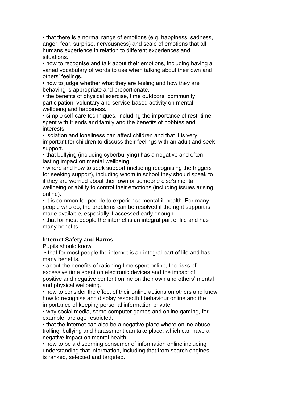• that there is a normal range of emotions (e.g. happiness, sadness, anger, fear, surprise, nervousness) and scale of emotions that all humans experience in relation to different experiences and situations.

• how to recognise and talk about their emotions, including having a varied vocabulary of words to use when talking about their own and others' feelings.

• how to judge whether what they are feeling and how they are behaving is appropriate and proportionate.

• the benefits of physical exercise, time outdoors, community participation, voluntary and service-based activity on mental wellbeing and happiness.

• simple self-care techniques, including the importance of rest, time spent with friends and family and the benefits of hobbies and interests.

• isolation and loneliness can affect children and that it is very important for children to discuss their feelings with an adult and seek support.

• that bullying (including cyberbullying) has a negative and often lasting impact on mental wellbeing.

• where and how to seek support (including recognising the triggers for seeking support), including whom in school they should speak to if they are worried about their own or someone else's mental wellbeing or ability to control their emotions (including issues arising online).

• it is common for people to experience mental ill health. For many people who do, the problems can be resolved if the right support is made available, especially if accessed early enough.

• that for most people the internet is an integral part of life and has many benefits.

#### **Internet Safety and Harms**

Pupils should know

• that for most people the internet is an integral part of life and has many benefits.

• about the benefits of rationing time spent online, the risks of excessive time spent on electronic devices and the impact of positive and negative content online on their own and others' mental and physical wellbeing.

• how to consider the effect of their online actions on others and know how to recognise and display respectful behaviour online and the importance of keeping personal information private.

• why social media, some computer games and online gaming, for example, are age restricted.

• that the internet can also be a negative place where online abuse, trolling, bullying and harassment can take place, which can have a negative impact on mental health.

• how to be a discerning consumer of information online including understanding that information, including that from search engines, is ranked, selected and targeted.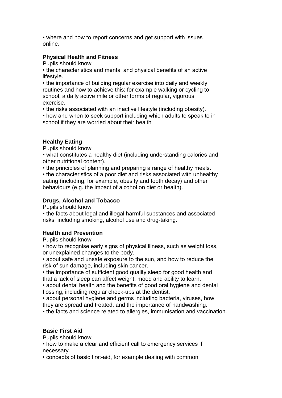• where and how to report concerns and get support with issues online.

# **Physical Health and Fitness**

Pupils should know

• the characteristics and mental and physical benefits of an active lifestyle.

• the importance of building regular exercise into daily and weekly routines and how to achieve this; for example walking or cycling to school, a daily active mile or other forms of regular, vigorous exercise.

• the risks associated with an inactive lifestyle (including obesity).

• how and when to seek support including which adults to speak to in school if they are worried about their health

# **Healthy Eating**

Pupils should know

• what constitutes a healthy diet (including understanding calories and other nutritional content).

• the principles of planning and preparing a range of healthy meals.

• the characteristics of a poor diet and risks associated with unhealthy eating (including, for example, obesity and tooth decay) and other behaviours (e.g. the impact of alcohol on diet or health).

# **Drugs, Alcohol and Tobacco**

Pupils should know

• the facts about legal and illegal harmful substances and associated risks, including smoking, alcohol use and drug-taking.

# **Health and Prevention**

Pupils should know

• how to recognise early signs of physical illness, such as weight loss, or unexplained changes to the body.

• about safe and unsafe exposure to the sun, and how to reduce the risk of sun damage, including skin cancer.

• the importance of sufficient good quality sleep for good health and that a lack of sleep can affect weight, mood and ability to learn.

• about dental health and the benefits of good oral hygiene and dental flossing, including regular check-ups at the dentist.

• about personal hygiene and germs including bacteria, viruses, how they are spread and treated, and the importance of handwashing.

• the facts and science related to allergies, immunisation and vaccination.

# **Basic First Aid**

Pupils should know:

• how to make a clear and efficient call to emergency services if necessary.

• concepts of basic first-aid, for example dealing with common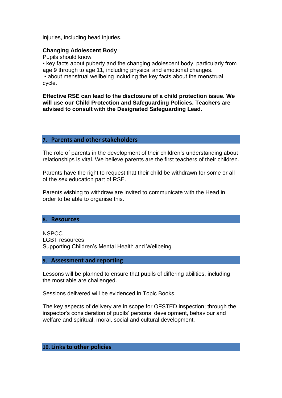injuries, including head injuries.

# **Changing Adolescent Body**

Pupils should know:

• key facts about puberty and the changing adolescent body, particularly from age 9 through to age 11, including physical and emotional changes. • about menstrual wellbeing including the key facts about the menstrual cycle.

**Effective RSE can lead to the disclosure of a child protection issue. We will use our Child Protection and Safeguarding Policies. Teachers are advised to consult with the Designated Safeguarding Lead.** 

# **7. Parents and other stakeholders**

The role of parents in the development of their children's understanding about relationships is vital. We believe parents are the first teachers of their children.

Parents have the right to request that their child be withdrawn for some or all of the sex education part of RSE.

Parents wishing to withdraw are invited to communicate with the Head in order to be able to organise this.

#### **8. Resources**

NSPCC LGBT resources Supporting Children's Mental Health and Wellbeing.

# **9. Assessment and reporting**

Lessons will be planned to ensure that pupils of differing abilities, including the most able are challenged.

Sessions delivered will be evidenced in Topic Books.

The key aspects of delivery are in scope for OFSTED inspection; through the inspector's consideration of pupils' personal development, behaviour and welfare and spiritual, moral, social and cultural development.